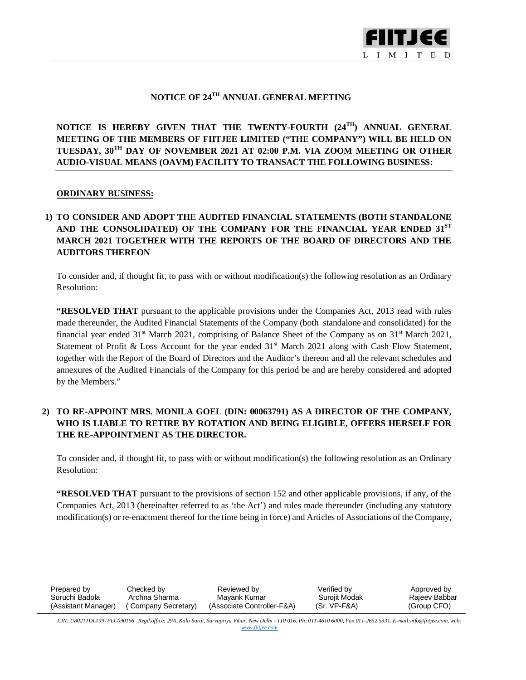

### **NOTICE OF 24 TH ANNUAL GENERAL MEETING**

**NOTICE IS HEREBY GIVEN THAT THE TWENTY-FOURTH (24 TH) ANNUAL GENERAL MEETING OF THE MEMBERS OF FIITJEE LIMITED ("THE COMPANY") WILL BE HELD ON TUESDAY, 30TH DAY OF NOVEMBER 2021 AT 02:00 P.M. VIA ZOOM MEETING OR OTHER AUDIO-VISUAL MEANS (OAVM) FACILITY TO TRANSACT THE FOLLOWING BUSINESS:**

#### **ORDINARY BUSINESS:**

## **1) TO CONSIDER AND ADOPT THE AUDITED FINANCIAL STATEMENTS (BOTH STANDALONE AND THE CONSOLIDATED) OF THE COMPANY FOR THE FINANCIAL YEAR ENDED 31ST MARCH 2021 TOGETHER WITH THE REPORTS OF THE BOARD OF DIRECTORS AND THE AUDITORS THEREON**

To consider and, if thought fit, to pass with or without modification(s) the following resolution as an Ordinary Resolution:

**"RESOLVED THAT** pursuant to the applicable provisions under the Companies Act, 2013 read with rules made thereunder, the Audited Financial Statements of the Company (both standalone and consolidated) for the financial year ended  $31<sup>st</sup>$  March 2021, comprising of Balance Sheet of the Company as on  $31<sup>st</sup>$  March 2021, Statement of Profit & Loss Account for the year ended  $31<sup>st</sup>$  March 2021 along with Cash Flow Statement, together with the Report of the Board of Directors and the Auditor's thereon and all the relevant schedules and annexures of the Audited Financials of the Company for this period be and are hereby considered and adopted by the Members."

### **2) TO RE-APPOINT MRS. MONILA GOEL (DIN: 00063791) AS A DIRECTOR OF THE COMPANY, WHO IS LIABLE TO RETIRE BY ROTATION AND BEING ELIGIBLE, OFFERS HERSELF FOR THE RE-APPOINTMENT AS THE DIRECTOR.**

To consider and, if thought fit, to pass with or without modification(s) the following resolution as an Ordinary Resolution:

**"RESOLVED THAT** pursuant to the provisions of section 152 and other applicable provisions, if any, of the Companies Act, 2013 (hereinafter referred to as 'the Act') and rules made thereunder (including any statutory modification(s) or re-enactment thereof for the time being in force) and Articles of Associations of the Company,

| Prepared by         | Checked by          | Reviewed by                | Verified by   | Approved by   |
|---------------------|---------------------|----------------------------|---------------|---------------|
| Suruchi Badola      | Archna Sharma       | Mavank Kumar               | Suroiit Modak | Raieev Babbar |
| (Assistant Manager) | (Company Secretary) | (Associate Controller-F&A) | (Sr. VP-F&A)  | (Group CFO)   |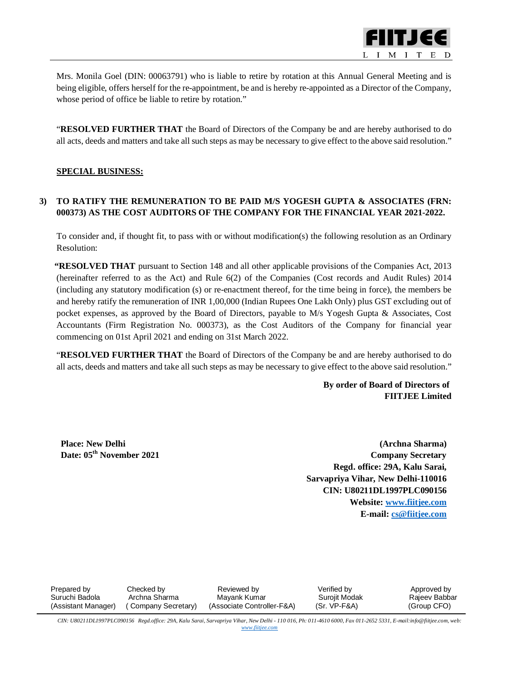

Mrs. Monila Goel (DIN: 00063791) who is liable to retire by rotation at this Annual General Meeting and is being eligible, offers herself for the re-appointment, be and is hereby re-appointed as a Director of the Company, whose period of office be liable to retire by rotation."

"**RESOLVED FURTHER THAT** the Board of Directors of the Company be and are hereby authorised to do all acts, deeds and matters and take all such steps as may be necessary to give effect to the above said resolution."

#### **SPECIAL BUSINESS:**

### **3) TO RATIFY THE REMUNERATION TO BE PAID M/S YOGESH GUPTA & ASSOCIATES (FRN: 000373) AS THE COST AUDITORS OF THE COMPANY FOR THE FINANCIAL YEAR 2021-2022.**

To consider and, if thought fit, to pass with or without modification(s) the following resolution as an Ordinary Resolution:

**"RESOLVED THAT** pursuant to Section 148 and all other applicable provisions of the Companies Act, 2013 (hereinafter referred to as the Act) and Rule 6(2) of the Companies (Cost records and Audit Rules) 2014 (including any statutory modification (s) or re-enactment thereof, for the time being in force), the members be and hereby ratify the remuneration of INR 1,00,000 (Indian Rupees One Lakh Only) plus GST excluding out of pocket expenses, as approved by the Board of Directors, payable to M/s Yogesh Gupta & Associates, Cost Accountants (Firm Registration No. 000373), as the Cost Auditors of the Company for financial year commencing on 01st April 2021 and ending on 31st March 2022.

"**RESOLVED FURTHER THAT** the Board of Directors of the Company be and are hereby authorised to do all acts, deeds and matters and take all such steps as may be necessary to give effect to the above said resolution."

> **By order of Board of Directors of FIITJEE Limited**

**Place: New Delhi Date: 05th November 2021**

**(Archna Sharma) Company Secretary Regd. office: 29A, Kalu Sarai, Sarvapriya Vihar, New Delhi-110016 CIN: U80211DL1997PLC090156 Website: [www.fiitjee.com](http://www.fiitjee.com) E-mail: [cs@fiitjee.com](mailto:cs@fiitjee.com)**

| Prepared by<br>Suruchi Badola | Checked by<br>Archna Sharma | Reviewed by                                | Verified bv                   | Approved by                  |
|-------------------------------|-----------------------------|--------------------------------------------|-------------------------------|------------------------------|
| (Assistant Manager)           | (Company Secretary)         | Mavank Kumar<br>(Associate Controller-F&A) | Surojit Modak<br>(Sr. VP-F&A) | Raieev Babbar<br>(Group CFO) |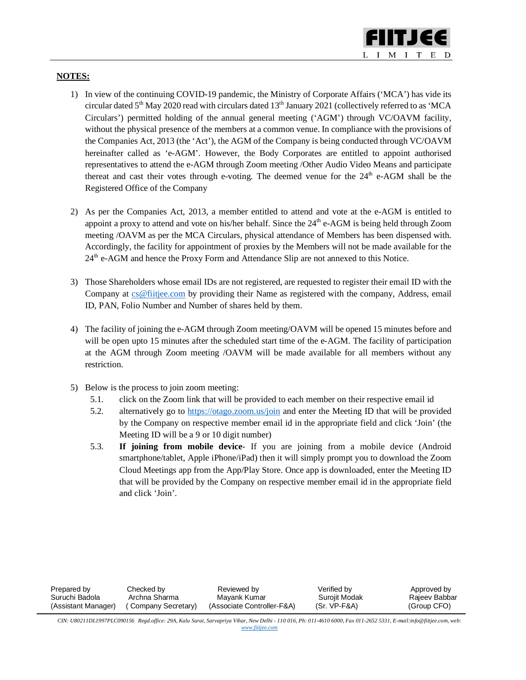

#### **NOTES:**

- 1) In view of the continuing COVID-19 pandemic, the Ministry of Corporate Affairs ('MCA') has vide its circular dated  $5<sup>th</sup>$  May 2020 read with circulars dated  $13<sup>th</sup>$  January 2021 (collectively referred to as 'MCA Circulars') permitted holding of the annual general meeting ('AGM') through VC/OAVM facility, without the physical presence of the members at a common venue. In compliance with the provisions of the Companies Act, 2013 (the 'Act'), the AGM of the Company is being conducted through VC/OAVM hereinafter called as 'e-AGM'. However, the Body Corporates are entitled to appoint authorised representatives to attend the e-AGM through Zoom meeting /Other Audio Video Means and participate thereat and cast their votes through e-voting. The deemed venue for the 24<sup>th</sup> e-AGM shall be the Registered Office of the Company
- 2) As per the Companies Act, 2013, a member entitled to attend and vote at the e-AGM is entitled to appoint a proxy to attend and vote on his/her behalf. Since the  $24<sup>th</sup>$  e-AGM is being held through Zoom meeting /OAVM as per the MCA Circulars, physical attendance of Members has been dispensed with. Accordingly, the facility for appointment of proxies by the Members will not be made available for the 24<sup>th</sup> e-AGM and hence the Proxy Form and Attendance Slip are not annexed to this Notice.
- 3) Those Shareholders whose email IDs are not registered, are requested to register their email ID with the Company at [cs@fiitjee.com](mailto:cs@fiitjee.com) by providing their Name as registered with the company, Address, email ID, PAN, Folio Number and Number of shares held by them.
- 4) The facility of joining the e-AGM through Zoom meeting/OAVM will be opened 15 minutes before and will be open upto 15 minutes after the scheduled start time of the e-AGM. The facility of participation at the AGM through Zoom meeting /OAVM will be made available for all members without any restriction.
- 5) Below is the process to join zoom meeting:
	- 5.1. click on the Zoom link that will be provided to each member on their respective email id
	- 5.2. alternatively go to <https://otago.zoom.us/join> and enter the Meeting ID that will be provided by the Company on respective member email id in the appropriate field and click 'Join' (the Meeting ID will be a 9 or 10 digit number)
	- 5.3. **If joining from mobile device** If you are joining from a mobile device (Android smartphone/tablet, Apple iPhone/iPad) then it will simply prompt you to download the Zoom Cloud Meetings app from the App/Play Store. Once app is downloaded, enter the Meeting ID that will be provided by the Company on respective member email id in the appropriate field and click 'Join'.

| Prepared by         | Checked by          | Reviewed by                | Verified bv   | Approved by   |
|---------------------|---------------------|----------------------------|---------------|---------------|
| Suruchi Badola      | Archna Sharma       | Mavank Kumar               | Suroiit Modak | Rajeev Babbar |
| (Assistant Manager) | (Company Secretary) | (Associate Controller-F&A) | (Sr. VP-F&A)  | (Group CFO)   |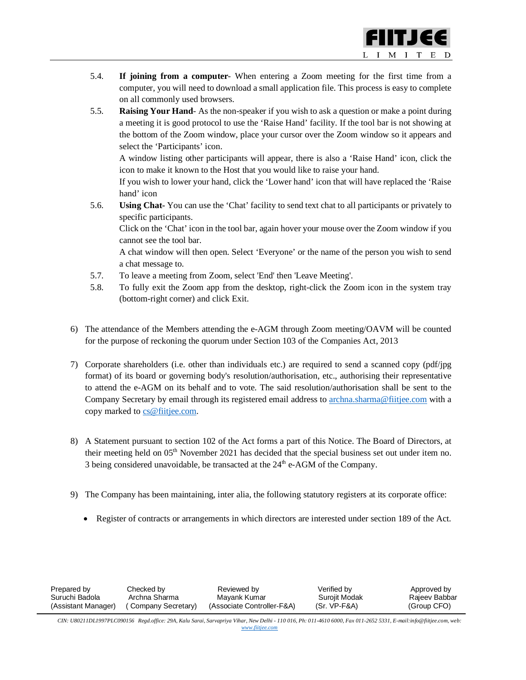

- 5.4. **If joining from a computer** When entering a Zoom meeting for the first time from a computer, you will need to download a small application file. This process is easy to complete on all commonly used browsers.
- 5.5. **Raising Your Hand** As the non-speaker if you wish to ask a question or make a point during a meeting it is good protocol to use the 'Raise Hand' facility. If the tool bar is not showing at the bottom of the Zoom window, place your cursor over the Zoom window so it appears and select the 'Participants' icon.

A window listing other participants will appear, there is also a 'Raise Hand' icon, click the icon to make it known to the Host that you would like to raise your hand.

If you wish to lower your hand, click the 'Lower hand' icon that will have replaced the 'Raise hand' icon

5.6. **Using Chat-** You can use the 'Chat' facility to send text chat to all participants or privately to specific participants.

Click on the 'Chat' icon in the tool bar, again hover your mouse over the Zoom window if you cannot see the tool bar.

A chat window will then open. Select 'Everyone' or the name of the person you wish to send a chat message to.

- 5.7. To leave a meeting from Zoom, select 'End' then 'Leave Meeting'.
- 5.8. To fully exit the Zoom app from the desktop, right-click the Zoom icon in the system tray (bottom-right corner) and click Exit.
- 6) The attendance of the Members attending the e-AGM through Zoom meeting/OAVM will be counted for the purpose of reckoning the quorum under Section 103 of the Companies Act, 2013
- 7) Corporate shareholders (i.e. other than individuals etc.) are required to send a scanned copy (pdf/jpg format) of its board or governing body's resolution/authorisation, etc., authorising their representative to attend the e-AGM on its behalf and to vote. The said resolution/authorisation shall be sent to the Company Secretary by email through its registered email address to [archna.sharma@fiitjee.com](mailto:archna.sharma@fiitjee.com) with a copy marked to [cs@fiitjee.com.](mailto:cs@fiitjee.com.)
- 8) A Statement pursuant to section 102 of the Act forms a part of this Notice. The Board of Directors, at their meeting held on 05<sup>th</sup> November 2021 has decided that the special business set out under item no. 3 being considered unavoidable, be transacted at the  $24<sup>th</sup>$  e-AGM of the Company.
- 9) The Company has been maintaining, inter alia, the following statutory registers at its corporate office:
	- Register of contracts or arrangements in which directors are interested under section 189 of the Act.

| Prepared by         | Checked by          | Reviewed by                | Verified by   | Approved by   |
|---------------------|---------------------|----------------------------|---------------|---------------|
| Suruchi Badola      | Archna Sharma       | Mavank Kumar               | Suroiit Modak | Raieev Babbar |
| (Assistant Manager) | (Company Secretary) | (Associate Controller-F&A) | (Sr. VP-F&A)  | (Group CFO)   |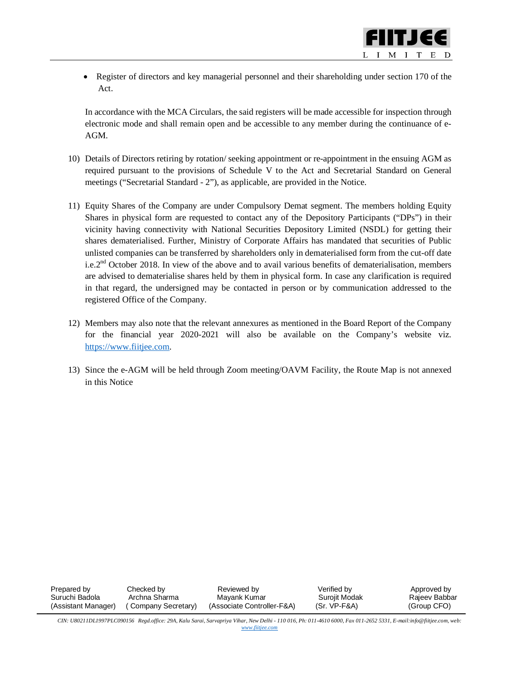• Register of directors and key managerial personnel and their shareholding under section 170 of the Act.

In accordance with the MCA Circulars, the said registers will be made accessible for inspection through electronic mode and shall remain open and be accessible to any member during the continuance of e-AGM.

- 10) Details of Directors retiring by rotation/ seeking appointment or re-appointment in the ensuing AGM as required pursuant to the provisions of Schedule V to the Act and Secretarial Standard on General meetings ("Secretarial Standard - 2"), as applicable, are provided in the Notice.
- 11) Equity Shares of the Company are under Compulsory Demat segment. The members holding Equity Shares in physical form are requested to contact any of the Depository Participants ("DPs") in their vicinity having connectivity with National Securities Depository Limited (NSDL) for getting their shares dematerialised. Further, Ministry of Corporate Affairs has mandated that securities of Public unlisted companies can be transferred by shareholders only in dematerialised form from the cut-off date i.e.2<sup>nd</sup> October 2018. In view of the above and to avail various benefits of dematerialisation, members are advised to dematerialise shares held by them in physical form. In case any clarification is required in that regard, the undersigned may be contacted in person or by communication addressed to the registered Office of the Company.
- 12) Members may also note that the relevant annexures as mentioned in the Board Report of the Company for the financial year 2020-2021 will also be available on the Company's website viz. <https://www.fiitjee.com.>
- 13) Since the e-AGM will be held through Zoom meeting/OAVM Facility, the Route Map is not annexed in this Notice

| Prepared by         | Checked by          | Reviewed by                | Verified by   | Approved by   |
|---------------------|---------------------|----------------------------|---------------|---------------|
| Suruchi Badola      | Archna Sharma       | Mavank Kumar               | Surojit Modak | Raieev Babbar |
| (Assistant Manager) | (Company Secretary) | (Associate Controller-F&A) | (Sr. VP-F&A)  | (Group CFO)   |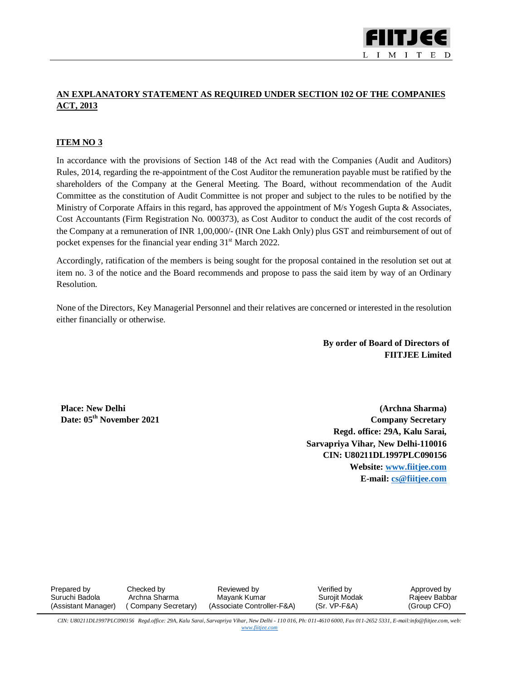

# **AN EXPLANATORY STATEMENT AS REQUIRED UNDER SECTION 102 OF THE COMPANIES ACT, 2013**

#### **ITEM NO 3**

In accordance with the provisions of Section 148 of the Act read with the Companies (Audit and Auditors) Rules, 2014, regarding the re-appointment of the Cost Auditor the remuneration payable must be ratified by the shareholders of the Company at the General Meeting. The Board, without recommendation of the Audit Committee as the constitution of Audit Committee is not proper and subject to the rules to be notified by the Ministry of Corporate Affairs in this regard, has approved the appointment of M/s Yogesh Gupta & Associates, Cost Accountants (Firm Registration No. 000373), as Cost Auditor to conduct the audit of the cost records of the Company at a remuneration of INR 1,00,000/- (INR One Lakh Only) plus GST and reimbursement of out of pocket expenses for the financial year ending  $31<sup>st</sup>$  March 2022.

Accordingly, ratification of the members is being sought for the proposal contained in the resolution set out at item no. 3 of the notice and the Board recommends and propose to pass the said item by way of an Ordinary Resolution.

None of the Directors, Key Managerial Personnel and their relatives are concerned or interested in the resolution either financially or otherwise.

> **By order of Board of Directors of FIITJEE Limited**

**Place: New Delhi Date: 05th November 2021**

**(Archna Sharma) Company Secretary Regd. office: 29A, Kalu Sarai, Sarvapriya Vihar, New Delhi-110016 CIN: U80211DL1997PLC090156 Website: [www.fiitjee.com](http://www.fiitjee.com) E-mail: [cs@fiitjee.com](mailto:cs@fiitjee.com)**

| Prepared by         | Checked by          | Reviewed by                | Verified by   | Approved by   |
|---------------------|---------------------|----------------------------|---------------|---------------|
| Suruchi Badola      | Archna Sharma       | Mavank Kumar               | Suroiit Modak | Raieev Babbar |
| (Assistant Manager) | (Company Secretary) | (Associate Controller-F&A) | (Sr. VP-F&A)  | (Group CFO)   |